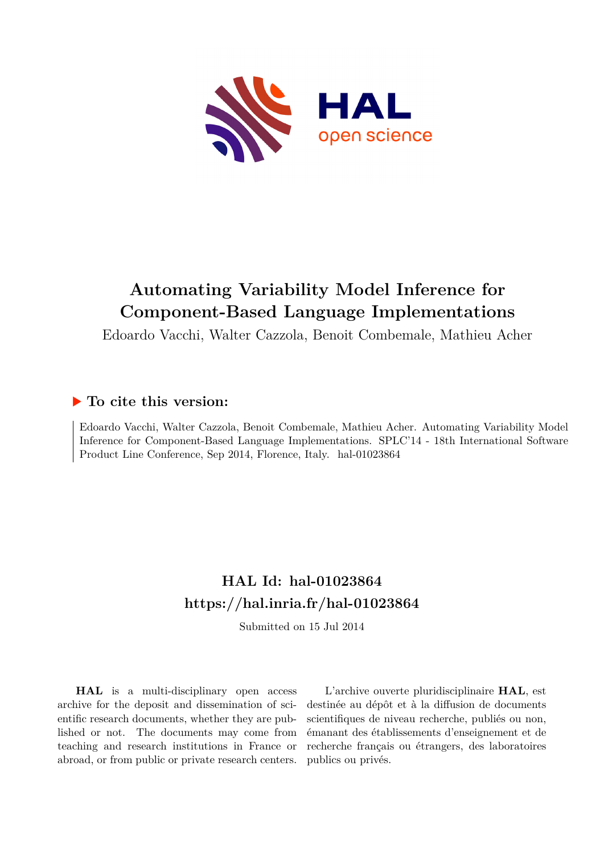

# **Automating Variability Model Inference for Component-Based Language Implementations**

Edoardo Vacchi, Walter Cazzola, Benoit Combemale, Mathieu Acher

## **To cite this version:**

Edoardo Vacchi, Walter Cazzola, Benoit Combemale, Mathieu Acher. Automating Variability Model Inference for Component-Based Language Implementations. SPLC'14 - 18th International Software Product Line Conference, Sep 2014, Florence, Italy. hal-01023864

## **HAL Id: hal-01023864 <https://hal.inria.fr/hal-01023864>**

Submitted on 15 Jul 2014

**HAL** is a multi-disciplinary open access archive for the deposit and dissemination of scientific research documents, whether they are published or not. The documents may come from teaching and research institutions in France or abroad, or from public or private research centers.

L'archive ouverte pluridisciplinaire **HAL**, est destinée au dépôt et à la diffusion de documents scientifiques de niveau recherche, publiés ou non, émanant des établissements d'enseignement et de recherche français ou étrangers, des laboratoires publics ou privés.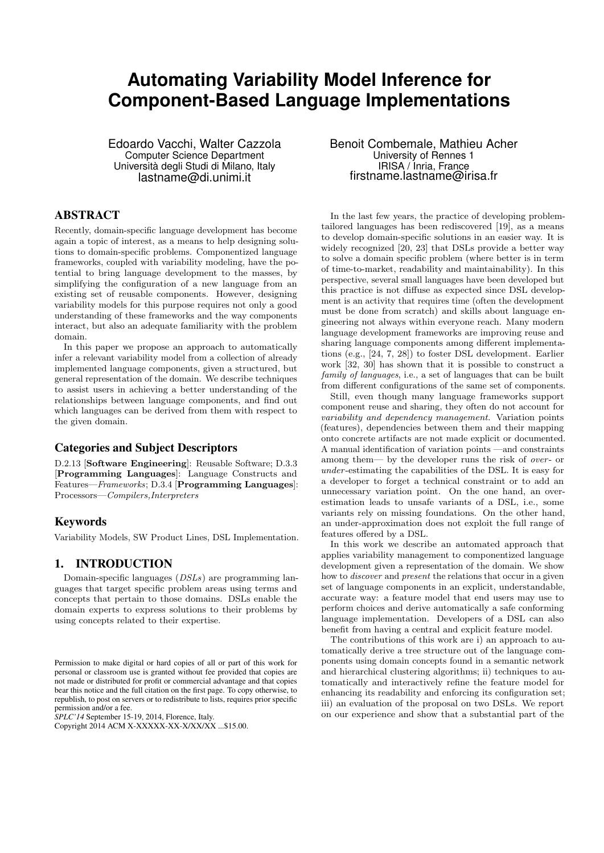## **Automating Variability Model Inference for Component-Based Language Implementations**

Edoardo Vacchi, Walter Cazzola Computer Science Department Università degli Studi di Milano, Italy lastname@di.unimi.it

## ABSTRACT

Recently, domain-specific language development has become again a topic of interest, as a means to help designing solutions to domain-specific problems. Componentized language frameworks, coupled with variability modeling, have the potential to bring language development to the masses, by simplifying the configuration of a new language from an existing set of reusable components. However, designing variability models for this purpose requires not only a good understanding of these frameworks and the way components interact, but also an adequate familiarity with the problem domain.

In this paper we propose an approach to automatically infer a relevant variability model from a collection of already implemented language components, given a structured, but general representation of the domain. We describe techniques to assist users in achieving a better understanding of the relationships between language components, and find out which languages can be derived from them with respect to the given domain.

## Categories and Subject Descriptors

D.2.13 [Software Engineering]: Reusable Software; D.3.3 [Programming Languages]: Language Constructs and Features—*Frameworks*; D.3.4 [Programming Languages]: Processors—*Compilers,Interpreters*

## Keywords

Variability Models, SW Product Lines, DSL Implementation.

## 1. INTRODUCTION

Domain-specific languages (*DSLs*) are programming languages that target specific problem areas using terms and concepts that pertain to those domains. DSLs enable the domain experts to express solutions to their problems by using concepts related to their expertise.

*SPLC'14* September 15-19, 2014, Florence, Italy.

Benoit Combemale, Mathieu Acher University of Rennes 1 IRISA / Inria, France firstname.lastname@irisa.fr

In the last few years, the practice of developing problemtailored languages has been rediscovered [\[19\]](#page-10-0), as a means to develop domain-specific solutions in an easier way. It is widely recognized [\[20,](#page-10-1) [23\]](#page-10-2) that DSLs provide a better way to solve a domain specific problem (where better is in term of time-to-market, readability and maintainability). In this perspective, several small languages have been developed but this practice is not diffuse as expected since DSL development is an activity that requires time (often the development must be done from scratch) and skills about language engineering not always within everyone reach. Many modern language development frameworks are improving reuse and sharing language components among different implementations (e.g., [\[24,](#page-10-3) [7,](#page-10-4) [28\]](#page-11-0)) to foster DSL development. Earlier work [\[32,](#page-11-1) [30\]](#page-11-2) has shown that it is possible to construct a *family of languages*, i.e., a set of languages that can be built from different configurations of the same set of components.

Still, even though many language frameworks support component reuse and sharing, they often do not account for *variability and dependency management*. Variation points (features), dependencies between them and their mapping onto concrete artifacts are not made explicit or documented. A manual identification of variation points —and constraints among them— by the developer runs the risk of *over*- or *under*-estimating the capabilities of the DSL. It is easy for a developer to forget a technical constraint or to add an unnecessary variation point. On the one hand, an overestimation leads to unsafe variants of a DSL, i.e., some variants rely on missing foundations. On the other hand, an under-approximation does not exploit the full range of features offered by a DSL.

In this work we describe an automated approach that applies variability management to componentized language development given a representation of the domain. We show how to *discover* and *present* the relations that occur in a given set of language components in an explicit, understandable, accurate way: a feature model that end users may use to perform choices and derive automatically a safe conforming language implementation. Developers of a DSL can also benefit from having a central and explicit feature model.

The contributions of this work are i) an approach to automatically derive a tree structure out of the language components using domain concepts found in a semantic network and hierarchical clustering algorithms; ii) techniques to automatically and interactively refine the feature model for enhancing its readability and enforcing its configuration set; iii) an evaluation of the proposal on two DSLs. We report on our experience and show that a substantial part of the

Permission to make digital or hard copies of all or part of this work for personal or classroom use is granted without fee provided that copies are not made or distributed for profit or commercial advantage and that copies bear this notice and the full citation on the first page. To copy otherwise, to republish, to post on servers or to redistribute to lists, requires prior specific permission and/or a fee.

Copyright 2014 ACM X-XXXXX-XX-X/XX/XX ...\$15.00.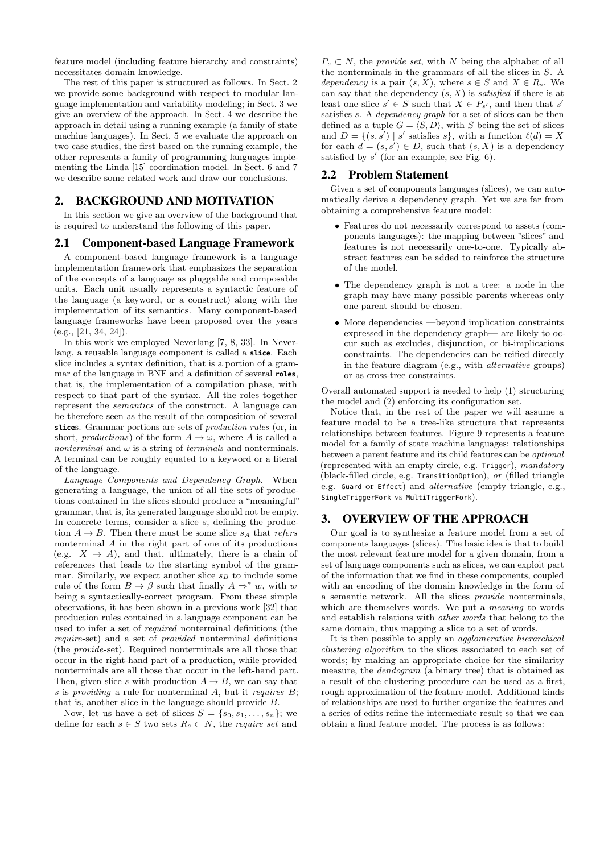feature model (including feature hierarchy and constraints) necessitates domain knowledge.

The rest of this paper is structured as follows. In Sect. [2](#page-2-0) we provide some background with respect to modular language implementation and variability modeling; in Sect. [3](#page-2-1) we give an overview of the approach. In Sect. [4](#page-3-0) we describe the approach in detail using a running example (a family of state machine languages). In Sect. [5](#page-6-0) we evaluate the approach on two case studies, the first based on the running example, the other represents a family of programming languages implementing the Linda [\[15\]](#page-10-5) coordination model. In Sect. [6](#page-8-0) and [7](#page-9-0) we describe some related work and draw our conclusions.

## <span id="page-2-0"></span>2. BACKGROUND AND MOTIVATION

In this section we give an overview of the background that is required to understand the following of this paper.

#### <span id="page-2-2"></span>2.1 Component-based Language Framework

A component-based language framework is a language implementation framework that emphasizes the separation of the concepts of a language as pluggable and composable units. Each unit usually represents a syntactic feature of the language (a keyword, or a construct) along with the implementation of its semantics. Many component-based language frameworks have been proposed over the years (e.g., [\[21,](#page-10-6) [34,](#page-11-3) [24\]](#page-10-3)).

In this work we employed Neverlang [\[7,](#page-10-4) [8,](#page-10-7) [33\]](#page-11-4). In Neverlang, a reusable language component is called a **slice**. Each slice includes a syntax definition, that is a portion of a grammar of the language in BNF and a definition of several **roles**, that is, the implementation of a compilation phase, with respect to that part of the syntax. All the roles together represent the *semantics* of the construct. A language can be therefore seen as the result of the composition of several **slice**s. Grammar portions are sets of *production rules* (or, in short, *productions*) of the form  $A \to \omega$ , where A is called a *nonterminal* and  $\omega$  is a string of *terminals* and nonterminals. A terminal can be roughly equated to a keyword or a literal of the language.

*Language Components and Dependency Graph.* When generating a language, the union of all the sets of productions contained in the slices should produce a "meaningful" grammar, that is, its generated language should not be empty. In concrete terms, consider a slice  $s$ , defining the production  $A \rightarrow B$ . Then there must be some slice  $s_A$  that *refers* nonterminal  $A$  in the right part of one of its productions (e.g.  $X \to A$ ), and that, ultimately, there is a chain of references that leads to the starting symbol of the grammar. Similarly, we expect another slice  $s_B$  to include some rule of the form  $B \to \beta$  such that finally  $A \Rightarrow^* w$ , with w being a syntactically-correct program. From these simple observations, it has been shown in a previous work [\[32\]](#page-11-1) that production rules contained in a language component can be used to infer a set of *required* nonterminal definitions (the *require*-set) and a set of *provided* nonterminal definitions (the *provide*-set). Required nonterminals are all those that occur in the right-hand part of a production, while provided nonterminals are all those that occur in the left-hand part. Then, given slice s with production  $A \rightarrow B$ , we can say that  $s$  is *providing* a rule for nonterminal  $A$ , but it *requires*  $B$ ; that is, another slice in the language should provide  $B$ .

Now, let us have a set of slices  $S = \{s_0, s_1, \ldots, s_n\}$ ; we define for each  $s \in S$  two sets  $R_s \subset N$ , the *require set* and

 $P_s \subset N$ , the *provide set*, with N being the alphabet of all the nonterminals in the grammars of all the slices in  $S$ . A *dependency* is a pair  $(s, X)$ , where  $s \in S$  and  $X \in R_s$ . We can say that the dependency  $(s, X)$  is *satisfied* if there is at least one slice  $s' \in S$  such that  $X \in P_{s'}$ , and then that s' satisfies . A *dependency graph* for a set of slices can be then defined as a tuple  $G = \langle S, D \rangle$ , with S being the set of slices and  $D = \{(s, s') \mid s' \text{ satisfies } s\}$ , with a function  $\ell(d) = X$ for each  $d = (s, s') \in D$ , such that  $(s, X)$  is a dependency satisfied by  $s'$  (for an example, see Fig. [6\)](#page-5-0).

#### 2.2 Problem Statement

Given a set of components languages (slices), we can automatically derive a dependency graph. Yet we are far from obtaining a comprehensive feature model:

- ∙ Features do not necessarily correspond to assets (components languages): the mapping between "slices" and features is not necessarily one-to-one. Typically abstract features can be added to reinforce the structure of the model.
- ∙ The dependency graph is not a tree: a node in the graph may have many possible parents whereas only one parent should be chosen.
- ∙ More dependencies —beyond implication constraints expressed in the dependency graph— are likely to occur such as excludes, disjunction, or bi-implications constraints. The dependencies can be reified directly in the feature diagram (e.g., with *alternative* groups) or as cross-tree constraints.

Overall automated support is needed to help (1) structuring the model and (2) enforcing its configuration set.

Notice that, in the rest of the paper we will assume a feature model to be a tree-like structure that represents relationships between features. Figure [9](#page-7-0) represents a feature model for a family of state machine languages: relationships between a parent feature and its child features can be *optional* (represented with an empty circle, e.g. Trigger), *mandatory* (black-filled circle, e.g. TransitionOption), *or* (filled triangle e.g. Guard or Effect) and *alternative* (empty triangle, e.g., SingleTriggerFork vs MultiTriggerFork).

## <span id="page-2-1"></span>3. OVERVIEW OF THE APPROACH

Our goal is to synthesize a feature model from a set of components languages (slices). The basic idea is that to build the most relevant feature model for a given domain, from a set of language components such as slices, we can exploit part of the information that we find in these components, coupled with an encoding of the domain knowledge in the form of a semantic network. All the slices *provide* nonterminals, which are themselves words. We put a *meaning* to words and establish relations with *other words* that belong to the same domain, thus mapping a slice to a set of words.

It is then possible to apply an *agglomerative hierarchical clustering algorithm* to the slices associated to each set of words; by making an appropriate choice for the similarity measure, the *dendogram* (a binary tree) that is obtained as a result of the clustering procedure can be used as a first, rough approximation of the feature model. Additional kinds of relationships are used to further organize the features and a series of edits refine the intermediate result so that we can obtain a final feature model. The process is as follows: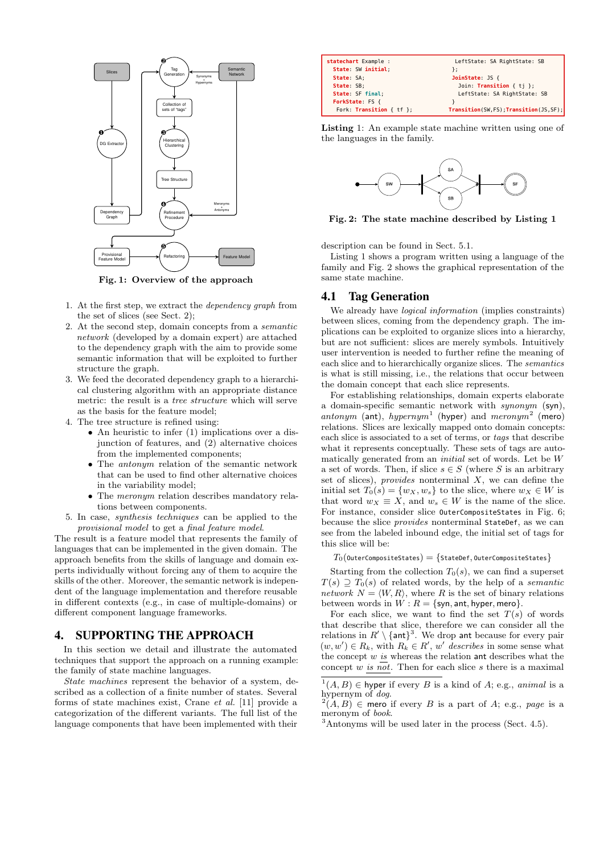

Fig. 1: Overview of the approach

- 1. At the first step, we extract the *dependency graph* from the set of slices (see Sect. [2\)](#page-2-0);
- 2. At the second step, domain concepts from a *semantic network* (developed by a domain expert) are attached to the dependency graph with the aim to provide some semantic information that will be exploited to further structure the graph.
- 3. We feed the decorated dependency graph to a hierarchical clustering algorithm with an appropriate distance metric: the result is a *tree structure* which will serve as the basis for the feature model;
- 4. The tree structure is refined using:
	- ∙ An heuristic to infer (1) implications over a disjunction of features, and (2) alternative choices from the implemented components;
	- ∙ The *antonym* relation of the semantic network that can be used to find other alternative choices in the variability model;
	- ∙ The *meronym* relation describes mandatory relations between components.
- 5. In case, *synthesis techniques* can be applied to the *provisional model* to get a *final feature model*.

The result is a feature model that represents the family of languages that can be implemented in the given domain. The approach benefits from the skills of language and domain experts individually without forcing any of them to acquire the skills of the other. Moreover, the semantic network is independent of the language implementation and therefore reusable in different contexts (e.g., in case of multiple-domains) or different component language frameworks.

#### <span id="page-3-0"></span>4. SUPPORTING THE APPROACH

In this section we detail and illustrate the automated techniques that support the approach on a running example: the family of state machine languages.

*State machines* represent the behavior of a system, described as a collection of a finite number of states. Several forms of state machines exist, Crane *et al.* [\[11\]](#page-10-8) provide a categorization of the different variants. The full list of the language components that have been implemented with their



<span id="page-3-1"></span>Listing 1: An example state machine written using one of the languages in the family.

<span id="page-3-2"></span>

Fig. 2: The state machine described by Listing [1](#page-3-1)

description can be found in Sect. [5.1.](#page-6-1)

Listing [1](#page-3-1) shows a program written using a language of the family and Fig. [2](#page-3-2) shows the graphical representation of the same state machine.

## 4.1 Tag Generation

We already have *logical information* (implies constraints) between slices, coming from the dependency graph. The implications can be exploited to organize slices into a hierarchy, but are not sufficient: slices are merely symbols. Intuitively user intervention is needed to further refine the meaning of each slice and to hierarchically organize slices. The *semantics* is what is still missing, i.e., the relations that occur between the domain concept that each slice represents.

For establishing relationships, domain experts elaborate a domain-specific semantic network with *synonym* (syn), antonym (ant), *hypernym*<sup>1</sup> (hyper) and *meronym*<sup>2</sup> (mero) relations. Slices are lexically mapped onto domain concepts: each slice is associated to a set of terms, or *tags* that describe what it represents conceptually. These sets of tags are automatically generated from an *initial* set of words. Let be a set of words. Then, if slice  $s \in S$  (where S is an arbitrary set of slices), *provides* nonterminal  $X$ , we can define the initial set  $T_0(s) = \{w_X, w_s\}$  to the slice, where  $w_X \in W$  is that word  $w_X \equiv X$ , and  $w_s \in W$  is the name of the slice. For instance, consider slice OuterCompositeStates in Fig. [6;](#page-5-0) because the slice *provides* nonterminal StateDef, as we can see from the labeled inbound edge, the initial set of tags for this slice will be:

 $T_0$ (OuterCompositeStates) = {StateDef, OuterCompositeStates}

Starting from the collection  $T_0(s)$ , we can find a superset  $T(s) \supseteq T_0(s)$  of related words, by the help of a *semantic network*  $N = \langle W, R \rangle$ , where R is the set of binary relations between words in  $W : R = \{\text{syn}, \text{ant}, \text{hyper}, \text{mero}\}.$ 

For each slice, we want to find the set  $T(s)$  of words that describe that slice, therefore we can consider all the relations in  $R' \setminus \{\text{ant}\}^3$ . We drop ant because for every pair  $(w, w') \in R_k$ , with  $R_k \in R'$ , w' describes in some sense what the concept *w* is whereas the relation ant describes what the concept  $w$  is not. Then for each slice  $s$  there is a maximal

<sup>3</sup>Antonyms will be used later in the process (Sect. [4.5\)](#page-5-1).

 $^{1}(A, B) \in$  hyper if every B is a kind of A; e.g., *animal* is a hypernym of *dog*.

 $2(A, B) \in \text{mero if every } B \text{ is a part of } A$ ; e.g., *page* is a meronym of *book*.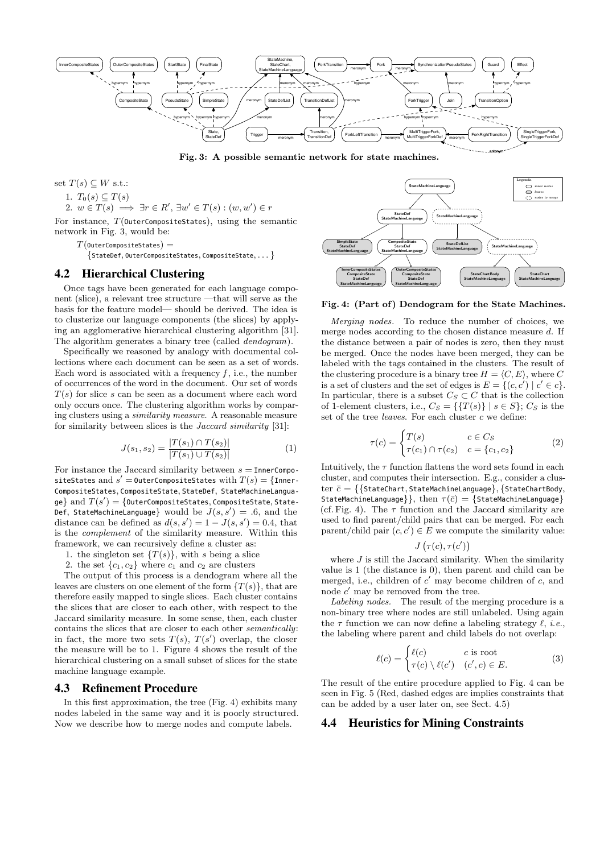

Fig. 3: A possible semantic network for state machines.

set  $T(s) \subseteq W$  s.t.:

1.  $T_0(s) \subseteq T(s)$ 

2.  $w \in \overline{T(s)} \implies \exists r \in R', \exists w' \in T(s) : (w, w') \in r$ 

For instance,  $T$ (OuterCompositeStates), using the semantic network in Fig. [3,](#page-4-0) would be:

 $T($ OuterCompositeStates)  $=$ 

{StateDef, OuterCompositeStates, CompositeState, . . . }

## 4.2 Hierarchical Clustering

Once tags have been generated for each language component (slice), a relevant tree structure —that will serve as the basis for the feature model— should be derived. The idea is to clusterize our language components (the slices) by applying an agglomerative hierarchical clustering algorithm [\[31\]](#page-11-5). The algorithm generates a binary tree (called *dendogram*).

Specifically we reasoned by analogy with documental collections where each document can be seen as a set of words. Each word is associated with a frequency  $f$ , i.e., the number of occurrences of the word in the document. Our set of words  $T(s)$  for slice s can be seen as a document where each word only occurs once. The clustering algorithm works by comparing clusters using a *similarity measure*. A reasonable measure for similarity between slices is the *Jaccard similarity* [\[31\]](#page-11-5):

$$
J(s_1, s_2) = \frac{|T(s_1) \cap T(s_2)|}{|T(s_1) \cup T(s_2)|} \tag{1}
$$

For instance the Jaccard similarity between  $s =$ InnerCompositeStates and  $s' =$  OuterCompositeStates with  $T(s) = \{$  Inner-CompositeStates, CompositeState, StateDef, StateMachineLanguage} and  $T(s') = \{$ OuterCompositeStates, $\widetilde{\mathsf{CompositeStateSet}}$ Def, StateMachineLanguage} would be  $J(s, s') = .6$ , and the distance can be defined as  $d(s, s') = 1 - J(s, s') = 0.4$ , that is the *complement* of the similarity measure. Within this framework, we can recursively define a cluster as:

- 1. the singleton set  ${T(s)}$ , with s being a slice
- 2. the set  ${c_1, c_2}$  where  $c_1$  and  $c_2$  are clusters

The output of this process is a dendogram where all the leaves are clusters on one element of the form  $\{T(s)\}\,$ , that are therefore easily mapped to single slices. Each cluster contains the slices that are closer to each other, with respect to the Jaccard similarity measure. In some sense, then, each cluster contains the slices that are closer to each other *semantically*: in fact, the more two sets  $T(s)$ ,  $T(s')$  overlap, the closer the measure will be to 1. Figure [4](#page-4-1) shows the result of the hierarchical clustering on a small subset of slices for the state machine language example.

#### 4.3 Refinement Procedure

In this first approximation, the tree (Fig. [4\)](#page-4-1) exhibits many nodes labeled in the same way and it is poorly structured. Now we describe how to merge nodes and compute labels.

<span id="page-4-0"></span>

<span id="page-4-1"></span>Fig. 4: (Part of) Dendogram for the State Machines.

*Merging nodes.* To reduce the number of choices, we merge nodes according to the chosen distance measure  $d$ . If the distance between a pair of nodes is zero, then they must be merged. Once the nodes have been merged, they can be labeled with the tags contained in the clusters. The result of the clustering procedure is a binary tree  $H = \langle C, E \rangle$ , where C is a set of clusters and the set of edges is  $E = \{(c, c') | c' \in c\}.$ In particular, there is a subset  $C_S \subset C$  that is the collection of 1-element clusters, i.e.,  $C_S = \{ \{T(s)\} \mid s \in S \}$ ;  $C_S$  is the set of the tree *leaves*. For each cluster  $c$  we define:

$$
\tau(c) = \begin{cases} T(s) & c \in C_S \\ \tau(c_1) \cap \tau(c_2) & c = \{c_1, c_2\} \end{cases}
$$
 (2)

Intuitively, the  $\tau$  function flattens the word sets found in each cluster, and computes their intersection. E.g., consider a cluster  $\bar{c} = \{\{\text{StateChart}, \text{StateMachineLanguage}\}, \{\text{StateChartBody}, \}$ StateMachineLanguage}}, then  $\tau(\bar{c}) = \{$ StateMachineLanguage} (cf. Fig. [4\)](#page-4-1). The  $\tau$  function and the Jaccard similarity are used to find parent/child pairs that can be merged. For each parent/child pair  $(c, c') \in E$  we compute the similarity value:

$$
J\left(\tau(c),\tau(c')\right)
$$

where  $J$  is still the Jaccard similarity. When the similarity value is 1 (the distance is 0), then parent and child can be merged, i.e., children of  $c'$  may become children of  $c$ , and node c' may be removed from the tree.

*Labeling nodes.* The result of the merging procedure is a non-binary tree where nodes are still unlabeled. Using again the  $\tau$  function we can now define a labeling strategy  $\ell$ , *i.e.*, the labeling where parent and child labels do not overlap:

$$
\ell(c) = \begin{cases} \ell(c) & c \text{ is root} \\ \tau(c) \setminus \ell(c') & (c', c) \in E. \end{cases}
$$
 (3)

The result of the entire procedure applied to Fig. [4](#page-4-1) can be seen in Fig. [5](#page-5-2) (Red, dashed edges are implies constraints that can be added by a user later on, see Sect. [4.5\)](#page-5-1)

#### <span id="page-4-2"></span>4.4 Heuristics for Mining Constraints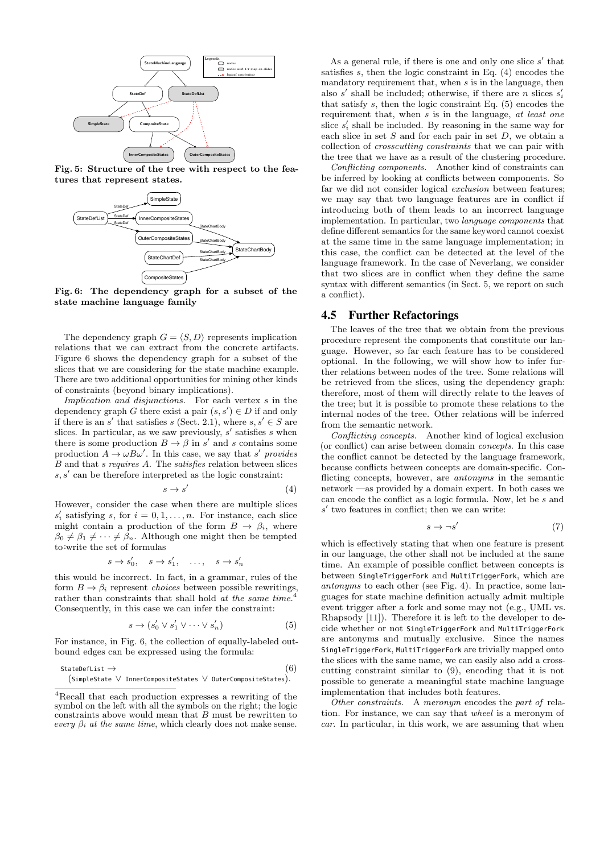

Fig. 5: Structure of the tree with respect to the features that represent states.



Fig. 6: The dependency graph for a subset of the state machine language family

The dependency graph  $G = \langle S, D \rangle$  represents implication relations that we can extract from the concrete artifacts. Figure [6](#page-5-0) shows the dependency graph for a subset of the slices that we are considering for the state machine example. There are two additional opportunities for mining other kinds of constraints (beyond binary implications).

*Implication and disjunctions.* For each vertex s in the dependency graph G there exist a pair  $(s, s') \in D$  if and only if there is an s' that satisfies s (Sect. [2.1\)](#page-2-2), where  $s, s' \in S$  are slices. In particular, as we saw previously,  $s'$  satisfies s when there is some production  $B \to \beta$  in s' and s contains some production  $\overrightarrow{A} \to \omega \overrightarrow{B\omega}$ . In this case, we say that s' provides  $B$  and that  $s$  requires  $A$ . The  $satisfies$  relation between slices  $s, s'$  can be therefore interpreted as the logic constraint:

<span id="page-5-3"></span>
$$
s \to s' \tag{4}
$$

However, consider the case when there are multiple slices  $s'_i$  satisfying s, for  $i = 0, 1, \ldots, n$ . For instance, each slice might contain a production of the form  $B \to \beta_i$ , where  $\beta_0 \neq \beta_1 \neq \cdots \neq \beta_n$ . Although one might then be tempted to write the set of formulas

$$
s \to s'_0, \quad s \to s'_1, \quad \dots, \quad s \to s'_n
$$

this would be incorrect. In fact, in a grammar, rules of the form  $B \to \beta_i$  represent *choices* between possible rewritings, rather than constraints that shall hold *at the same time*.<sup>4</sup> Consequently, in this case we can infer the constraint:

<span id="page-5-4"></span>
$$
s \to (s'_0 \lor s'_1 \lor \dots \lor s'_n) \tag{5}
$$

For instance, in Fig. [6,](#page-5-0) the collection of equally-labeled outbound edges can be expressed using the formula:

```
\nStateDefList 
$$
\rightarrow
$$
 (6)\n  (SimpleState V InnerCompositeStates V OuterCompositeStates).\n
```

As a general rule, if there is one and only one slice  $s'$  that satisfies  $s$ , then the logic constraint in Eq.  $(4)$  encodes the mandatory requirement that, when  $s$  is in the language, then also  $s'$  shall be included; otherwise, if there are *n* slices  $s'_{i}$ that satisfy  $s$ , then the logic constraint Eq.  $(5)$  encodes the requirement that, when *s* is in the language, *at least one* slice  $s'_i$  shall be included. By reasoning in the same way for each slice in set  $S$  and for each pair in set  $D$ , we obtain a collection of *crosscutting constraints* that we can pair with the tree that we have as a result of the clustering procedure.

<span id="page-5-2"></span>*Conflicting components.* Another kind of constraints can be inferred by looking at conflicts between components. So far we did not consider logical *exclusion* between features; we may say that two language features are in conflict if introducing both of them leads to an incorrect language implementation. In particular, two *language components* that define different semantics for the same keyword cannot coexist at the same time in the same language implementation; in this case, the conflict can be detected at the level of the language framework. In the case of Neverlang, we consider that two slices are in conflict when they define the same syntax with different semantics (in Sect. [5,](#page-6-0) we report on such a conflict).

#### <span id="page-5-1"></span><span id="page-5-0"></span>4.5 Further Refactorings

The leaves of the tree that we obtain from the previous procedure represent the components that constitute our language. However, so far each feature has to be considered optional. In the following, we will show how to infer further relations between nodes of the tree. Some relations will be retrieved from the slices, using the dependency graph: therefore, most of them will directly relate to the leaves of the tree; but it is possible to promote these relations to the internal nodes of the tree. Other relations will be inferred from the semantic network.

*Conflicting concepts.* Another kind of logical exclusion (or conflict) can arise between domain *concepts*. In this case the conflict cannot be detected by the language framework, because conflicts between concepts are domain-specific. Conflicting concepts, however, are *antonyms* in the semantic network —as provided by a domain expert. In both cases we can encode the conflict as a logic formula. Now, let be s and  $s'$  two features in conflict; then we can write:

$$
s \to \neg s' \tag{7}
$$

which is effectively stating that when one feature is present in our language, the other shall not be included at the same time. An example of possible conflict between concepts is between SingleTriggerFork and MultiTriggerFork, which are *antonyms* to each other (see Fig. [4\)](#page-4-1). In practice, some languages for state machine definition actually admit multiple event trigger after a fork and some may not (e.g., UML vs. Rhapsody [\[11\]](#page-10-8)). Therefore it is left to the developer to decide whether or not SingleTriggerFork and MultiTriggerFork are antonyms and mutually exclusive. Since the names SingleTriggerFork, MultiTriggerFork are trivially mapped onto the slices with the same name, we can easily also add a crosscutting constraint similar to [\(9\)](#page-7-1), encoding that it is not possible to generate a meaningful state machine language implementation that includes both features.

*Other constraints.* A *meronym* encodes the *part of* relation. For instance, we can say that *wheel* is a meronym of *car*. In particular, in this work, we are assuming that when

<sup>4</sup>Recall that each production expresses a rewriting of the symbol on the left with all the symbols on the right; the logic constraints above would mean that  $B$  must be rewritten to *every*  $\beta_i$  *at the same time*, which clearly does not make sense.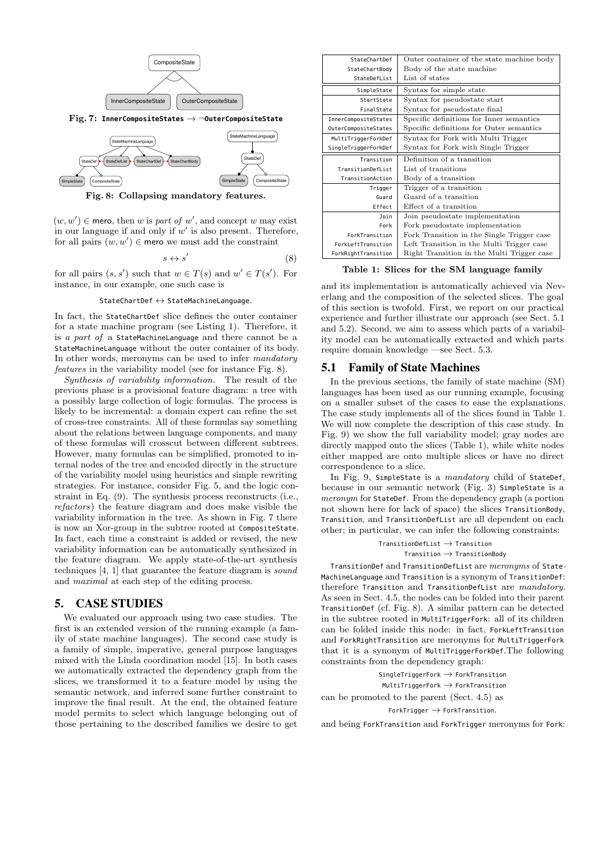

Fig. 7: **InnerCompositeStates** → ¬**OuterCompositeState**



Fig. 8: Collapsing mandatory features.

 $(w, w') \in \text{mero}, \text{ then } w \text{ is part of } w', \text{ and concept } w \text{ may exist}$ in our language if and only if  $w'$  is also present. Therefore, for all pairs  $(w, w') \in \text{mero we must add the constraint}$ 

$$
s \leftrightarrow s' \tag{8}
$$

for all pairs  $(s, s')$  such that  $w \in T(s)$  and  $w' \in T(s')$ . For instance, in our example, one such case is

StateChartDef ↔ StateMachineLanguage.

In fact, the StateChartDef slice defines the outer container for a state machine program (see Listing [1\)](#page-3-1). Therefore, it is *a part of* a StateMachineLanguage and there cannot be a StateMachineLanguage without the outer container of its body. In other words, meronyms can be used to infer *mandatory features* in the variability model (see for instance Fig. [8\)](#page-6-2).

*Synthesis of variability information.* The result of the previous phase is a provisional feature diagram: a tree with a possibly large collection of logic formulas. The process is likely to be incremental: a domain expert can refine the set of cross-tree constraints. All of these formulas say something about the relations between language components, and many of these formulas will crosscut between different subtrees. However, many formulas can be simplified, promoted to internal nodes of the tree and encoded directly in the structure of the variability model using heuristics and simple rewriting strategies. For instance, consider Fig. [5,](#page-5-2) and the logic constraint in Eq. [\(9\)](#page-7-1). The synthesis process reconstructs (i.e., *refactors*) the feature diagram and does make visible the variability information in the tree. As shown in Fig. [7](#page-6-3) there is now an Xor-group in the subtree rooted at CompositeState. In fact, each time a constraint is added or revised, the new variability information can be automatically synthesized in the feature diagram. We apply state-of-the-art synthesis techniques [\[4,](#page-10-9) [1\]](#page-9-1) that guarantee the feature diagram is *sound* and *maximal* at each step of the editing process.

## <span id="page-6-0"></span>5. CASE STUDIES

We evaluated our approach using two case studies. The first is an extended version of the running example (a family of state machine languages). The second case study is a family of simple, imperative, general purpose languages mixed with the Linda coordination model [\[15\]](#page-10-5). In both cases we automatically extracted the dependency graph from the slices, we transformed it to a feature model by using the semantic network, and inferred some further constraint to improve the final result. At the end, the obtained feature model permits to select which language belonging out of those pertaining to the described families we desire to get

<span id="page-6-3"></span>

| StateChartDef<br>StateChartBody<br>StateDefList | Outer container of the state machine body<br>Body of the state machine<br>List of states |  |
|-------------------------------------------------|------------------------------------------------------------------------------------------|--|
| SimpleState                                     | Syntax for simple state                                                                  |  |
| StartState                                      | Syntax for pseudostate start                                                             |  |
| Final State                                     | Syntax for pseudostate final                                                             |  |
| InnerCompositeStates                            | Specific definitions for Inner semantics                                                 |  |
| OuterCompositeStates                            | Specific definitions for Outer semantics                                                 |  |
| MultiTriggerForkDef                             | Syntax for Fork with Multi Trigger                                                       |  |
| SingleTriggerForkDef                            | Syntax for Fork with Single Trigger                                                      |  |
| Transition                                      | Definition of a transition                                                               |  |
| TransitionDefList                               | List of transitions                                                                      |  |
| TransitionAction                                | Body of a transition                                                                     |  |
| Trigger                                         | Trigger of a transition                                                                  |  |
| Guard                                           | Guard of a transition                                                                    |  |
| Effect                                          | Effect of a transition                                                                   |  |
| Join                                            | Join pseudostate implementation                                                          |  |
| Fork                                            | Fork pseudostate implementation                                                          |  |
| ForkTransition                                  | Fork Transition in the Single Trigger case                                               |  |
| ForkLeftTransition                              | Left Transition in the Multi Trigger case                                                |  |
| ForkRightTransition                             | Right Transition in the Multi Trigger case                                               |  |

<span id="page-6-4"></span><span id="page-6-2"></span>Table 1: Slices for the SM language family

and its implementation is automatically achieved via Neverlang and the composition of the selected slices. The goal of this section is twofold. First, we report on our practical experience and further illustrate our approach (see Sect. [5.1](#page-6-1) and [5.2\)](#page-7-2). Second, we aim to assess which parts of a variability model can be automatically extracted and which parts require domain knowledge —see Sect. [5.3.](#page-8-1)

#### <span id="page-6-1"></span>5.1 Family of State Machines

In the previous sections, the family of state machine (SM) languages has been used as our running example, focusing on a smaller subset of the cases to ease the explanations. The case study implements all of the slices found in Table [1.](#page-6-4) We will now complete the description of this case study. In Fig. [9\)](#page-7-0) we show the full variability model; gray nodes are directly mapped onto the slices (Table [1\)](#page-6-4), while white nodes either mapped are onto multiple slices or have no direct correspondence to a slice.

In Fig. [9,](#page-7-0) SimpleState is a *mandatory* child of StateDef, because in our semantic network (Fig. [3\)](#page-4-0) SimpleState is a *meronym* for StateDef. From the dependency graph (a portion not shown here for lack of space) the slices TransitionBody, Transition, and TransitionDefList are all dependent on each other; in particular, we can infer the following constraints:

```
TransitionDefList → Transition
Transtitution \rightarrow TransitionBody
```
TransitionDef and TransitionDefList are *meronyms* of State-MachineLanguage and Transition is a synonym of TransitionDef: therefore Transition and TransitionDefList are *mandatory*. As seen in Sect. [4.5,](#page-5-1) the nodes can be folded into their parent TransitionDef (cf. Fig. [8\)](#page-6-2). A similar pattern can be detected in the subtree rooted in MultiTriggerFork: all of its children can be folded inside this node: in fact, ForkLeftTransition and ForkRightTransition are meronyms for MultiTriggerFork that it is a synonym of MultiTriggerForkDef.The following constraints from the dependency graph:

> $SingleTriggerFork \rightarrow ForkTransition$  $MultiTriggerFork \rightarrow ForkTransition$

can be promoted to the parent (Sect. [4.5\)](#page-5-1) as

 $FortTrigger \rightarrow ForkTransition.$ 

and being ForkTransition and ForkTrigger meronyms for Fork: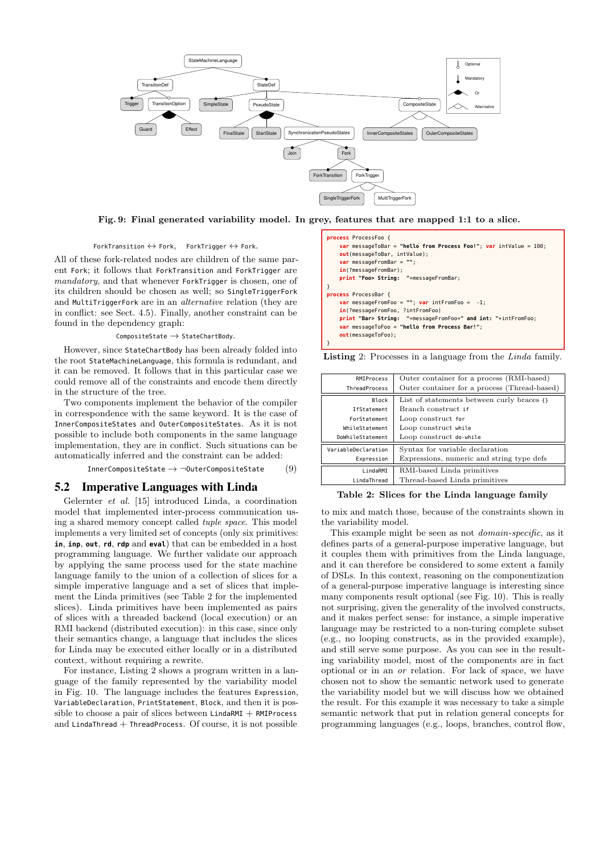

Fig. 9: Final generated variability model. In grey, features that are mapped 1:1 to a slice.

ForkTransition  $\leftrightarrow$  Fork, ForkTrigger  $\leftrightarrow$  Fork.

<span id="page-7-0"></span>All of these fork-related nodes are children of the same parent Fork; it follows that ForkTransition and ForkTrigger are *mandatory*, and that whenever ForkTrigger is chosen, one of its children should be chosen as well; so SingleTriggerFork and MultiTriggerFork are in an *alternative* relation (they are in conflict: see Sect. [4.5\)](#page-5-1). Finally, another constraint can be found in the dependency graph:

 $CompositeState \rightarrow StateCharBody.$ 

However, since StateChartBody has been already folded into the root StateMachineLanguage, this formula is redundant, and it can be removed. It follows that in this particular case we could remove all of the constraints and encode them directly in the structure of the tree.

Two components implement the behavior of the compiler in correspondence with the same keyword. It is the case of InnerCompositeStates and OuterCompositeStates. As it is not possible to include both components in the same language implementation, they are in conflict. Such situations can be automatically inferred and the constraint can be added:

```
InnerCompositeState \rightarrow \negOuterCompositeState (9)
```
#### <span id="page-7-2"></span>5.2 Imperative Languages with Linda

Gelernter *et al.* [\[15\]](#page-10-5) introduced Linda, a coordination model that implemented inter-process communication using a shared memory concept called *tuple space*. This model implements a very limited set of concepts (only six primitives: **in**, **inp**, **out**, **rd**, **rdp** and **eval**) that can be embedded in a host programming language. We further validate our approach by applying the same process used for the state machine language family to the union of a collection of slices for a simple imperative language and a set of slices that implement the Linda primitives (see Table [2](#page-7-3) for the implemented slices). Linda primitives have been implemented as pairs of slices with a threaded backend (local execution) or an RMI backend (distributed execution): in this case, since only their semantics change, a language that includes the slices for Linda may be executed either locally or in a distributed context, without requiring a rewrite.

For instance, Listing [2](#page-7-4) shows a program written in a language of the family represented by the variability model in Fig. [10.](#page-8-2) The language includes the features Expression, VariableDeclaration, PrintStatement, Block, and then it is possible to choose a pair of slices between  $LindaRMI + RMIProcess$ and LindaThread  $+$  ThreadProcess. Of course, it is not possible

| process ProcessFoo {<br>var messageToBar = "hello from Process Foo!"; var intValue = $100$ ; |  |  |
|----------------------------------------------------------------------------------------------|--|--|
| out(messageToBar, intValue);                                                                 |  |  |
| var messageFromBar = $""$ ;                                                                  |  |  |
| in(?messageFromBar);                                                                         |  |  |
| print "Foo> String: "+messageFromBar;                                                        |  |  |
|                                                                                              |  |  |
| process ProcessBar {                                                                         |  |  |
| <b>var</b> messageFromFoo = ""; var intFromFoo = $-1$ ;                                      |  |  |
| in(?messageFromFoo, ?intFromFoo)                                                             |  |  |
| print "Bar> String: "+messageFromFoo+" and int: "+intFromFoo;                                |  |  |
| $var$ messageToFoo = "hello from Process Bar!":                                              |  |  |
| out(messageToFoo);                                                                           |  |  |
|                                                                                              |  |  |

Listing 2: Processes in a language from the *Linda* family.

<span id="page-7-4"></span>

| RMIProcess          | Outer container for a process (RMI-based)    |  |  |
|---------------------|----------------------------------------------|--|--|
| ThreadProcess       | Outer container for a process (Thread-based) |  |  |
| Block               | List of statements between curly braces {}   |  |  |
| <b>IfStatement</b>  | Branch construct if                          |  |  |
| ForStatement        | Loop construct for                           |  |  |
| WhileStatement      | Loop construct while                         |  |  |
| DoWhileStatement    | Loop construct do-while                      |  |  |
| VariableDeclaration | Syntax for variable declaration              |  |  |
| Expression          | Expressions, numeric and string type defs    |  |  |
| LindaRMI            | RMI-based Linda primitives                   |  |  |
| LindaThread         | Thread-based Linda primitives                |  |  |

<span id="page-7-3"></span>Table 2: Slices for the Linda language family

to mix and match those, because of the constraints shown in the variability model.

This example might be seen as not *domain-specific*, as it defines parts of a general-purpose imperative language, but it couples them with primitives from the Linda language, and it can therefore be considered to some extent a family of DSLs. In this context, reasoning on the componentization of a general-purpose imperative language is interesting since many components result optional (see Fig. [10\)](#page-8-2). This is really not surprising, given the generality of the involved constructs, and it makes perfect sense: for instance, a simple imperative language may be restricted to a non-turing complete subset (e.g., no looping constructs, as in the provided example), and still serve some purpose. As you can see in the resulting variability model, most of the components are in fact optional or in an *or* relation. For lack of space, we have chosen not to show the semantic network used to generate the variability model but we will discuss how we obtained the result. For this example it was necessary to take a simple semantic network that put in relation general concepts for programming languages (e.g., loops, branches, control flow,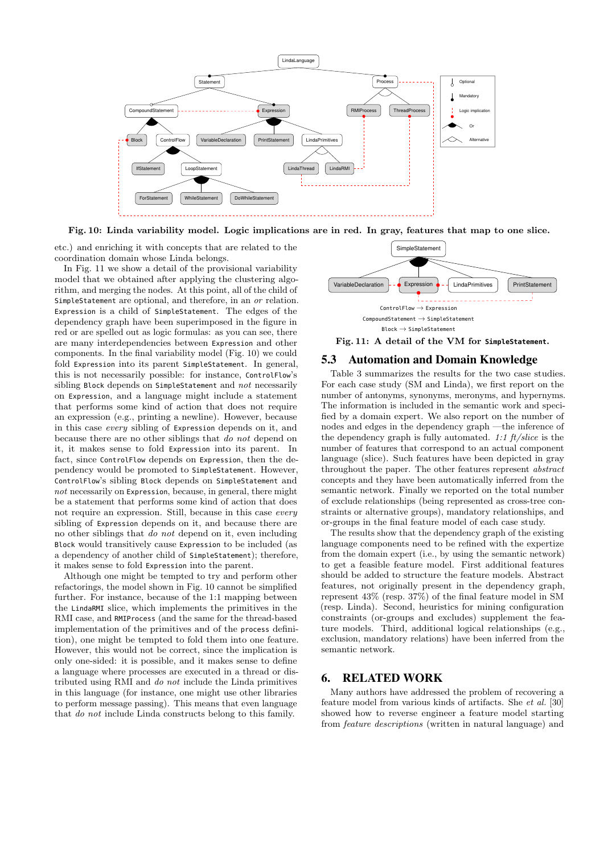

<span id="page-8-2"></span>Fig. 10: Linda variability model. Logic implications are in red. In gray, features that map to one slice.

etc.) and enriching it with concepts that are related to the coordination domain whose Linda belongs.

In Fig. [11](#page-8-3) we show a detail of the provisional variability model that we obtained after applying the clustering algorithm, and merging the nodes. At this point, all of the child of SimpleStatement are optional, and therefore, in an *or* relation. Expression is a child of SimpleStatement. The edges of the dependency graph have been superimposed in the figure in red or are spelled out as logic formulas: as you can see, there are many interdependencies between Expression and other components. In the final variability model (Fig. [10\)](#page-8-2) we could fold Expression into its parent SimpleStatement. In general, this is not necessarily possible: for instance, ControlFlow's sibling Block depends on SimpleStatement and *not* necessarily on Expression, and a language might include a statement that performs some kind of action that does not require an expression (e.g., printing a newline). However, because in this case *every* sibling of Expression depends on it, and because there are no other siblings that *do not* depend on it, it makes sense to fold Expression into its parent. In fact, since ControlFlow depends on Expression, then the dependency would be promoted to SimpleStatement. However, ControlFlow's sibling Block depends on SimpleStatement and *not* necessarily on Expression, because, in general, there might be a statement that performs some kind of action that does not require an expression. Still, because in this case *every* sibling of Expression depends on it, and because there are no other siblings that *do not* depend on it, even including Block would transitively cause Expression to be included (as a dependency of another child of SimpleStatement); therefore, it makes sense to fold Expression into the parent.

Although one might be tempted to try and perform other refactorings, the model shown in Fig. [10](#page-8-2) cannot be simplified further. For instance, because of the 1:1 mapping between the LindaRMI slice, which implements the primitives in the RMI case, and RMIProcess (and the same for the thread-based implementation of the primitives and of the process definition), one might be tempted to fold them into one feature. However, this would not be correct, since the implication is only one-sided: it is possible, and it makes sense to define a language where processes are executed in a thread or distributed using RMI and *do not* include the Linda primitives in this language (for instance, one might use other libraries to perform message passing). This means that even language that *do not* include Linda constructs belong to this family.



<span id="page-8-3"></span>Fig. 11: A detail of the VM for **SimpleStatement**.

#### <span id="page-8-1"></span>5.3 Automation and Domain Knowledge

Table [3](#page-9-2) summarizes the results for the two case studies. For each case study (SM and Linda), we first report on the number of antonyms, synonyms, meronyms, and hypernyms. The information is included in the semantic work and specified by a domain expert. We also report on the number of nodes and edges in the dependency graph —the inference of the dependency graph is fully automated. *1:1 ft/slice* is the number of features that correspond to an actual component language (slice). Such features have been depicted in gray throughout the paper. The other features represent *abstract* concepts and they have been automatically inferred from the semantic network. Finally we reported on the total number of exclude relationships (being represented as cross-tree constraints or alternative groups), mandatory relationships, and or-groups in the final feature model of each case study.

The results show that the dependency graph of the existing language components need to be refined with the expertize from the domain expert (i.e., by using the semantic network) to get a feasible feature model. First additional features should be added to structure the feature models. Abstract features, not originally present in the dependency graph, represent 43% (resp. 37%) of the final feature model in SM (resp. Linda). Second, heuristics for mining configuration constraints (or-groups and excludes) supplement the feature models. Third, additional logical relationships (e.g., exclusion, mandatory relations) have been inferred from the semantic network.

#### <span id="page-8-0"></span>6. RELATED WORK

Many authors have addressed the problem of recovering a feature model from various kinds of artifacts. She *et al.* [\[30\]](#page-11-2) showed how to reverse engineer a feature model starting from *feature descriptions* (written in natural language) and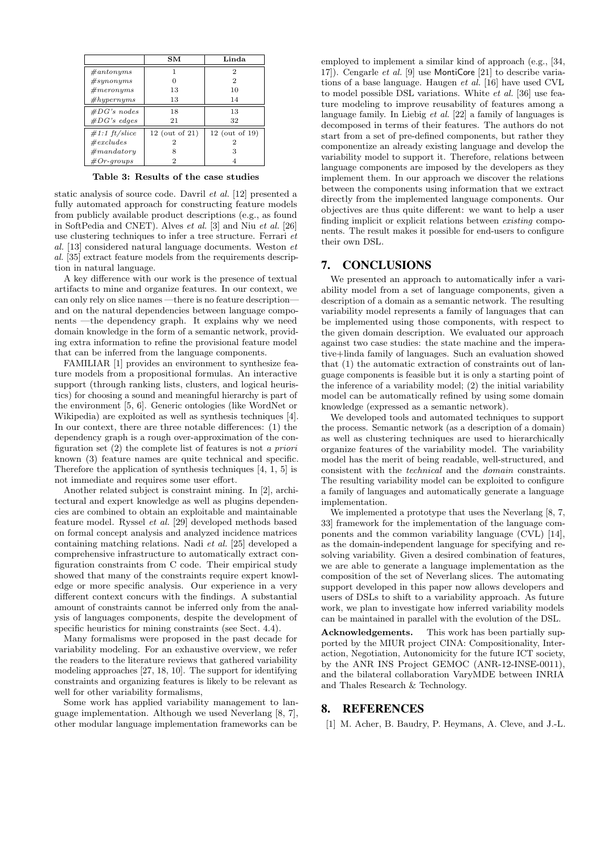|                  | SM                  | Linda            |
|------------------|---------------------|------------------|
| #antonyms        |                     | 2                |
| #synonyms        |                     | 2                |
| #meronyms        | 13                  | 10               |
| #hupernums       | 13                  | 14               |
| #DG's nodes      | 18                  | 13               |
| $#DG's$ edges    | 21                  | 32               |
| $\#1:1$ ft/slice | $12$ (out of $21$ ) | $12$ (out of 19) |
| $\#excludes$     | 2                   |                  |
| #mandatory       | 8                   | 3                |
| $\#Or-qrows$     | 2                   |                  |

Table 3: Results of the case studies

static analysis of source code. Davril *et al.* [\[12\]](#page-10-10) presented a fully automated approach for constructing feature models from publicly available product descriptions (e.g., as found in SoftPedia and CNET). Alves *et al.* [\[3\]](#page-10-11) and Niu *et al.* [\[26\]](#page-11-6) use clustering techniques to infer a tree structure. Ferrari *et al.* [\[13\]](#page-10-12) considered natural language documents. Weston *et al.* [\[35\]](#page-11-7) extract feature models from the requirements description in natural language.

A key difference with our work is the presence of textual artifacts to mine and organize features. In our context, we can only rely on slice names —there is no feature description and on the natural dependencies between language components —the dependency graph. It explains why we need domain knowledge in the form of a semantic network, providing extra information to refine the provisional feature model that can be inferred from the language components.

FAMILIAR [\[1\]](#page-9-1) provides an environment to synthesize feature models from a propositional formulas. An interactive support (through ranking lists, clusters, and logical heuristics) for choosing a sound and meaningful hierarchy is part of the environment [\[5,](#page-10-13) [6\]](#page-10-14). Generic ontologies (like WordNet or Wikipedia) are exploited as well as synthesis techniques [\[4\]](#page-10-9). In our context, there are three notable differences: (1) the dependency graph is a rough over-approximation of the configuration set (2) the complete list of features is not *a priori* known (3) feature names are quite technical and specific. Therefore the application of synthesis techniques [\[4,](#page-10-9) [1,](#page-9-1) [5\]](#page-10-13) is not immediate and requires some user effort.

Another related subject is constraint mining. In [\[2\]](#page-10-15), architectural and expert knowledge as well as plugins dependencies are combined to obtain an exploitable and maintainable feature model. Ryssel *et al.* [\[29\]](#page-11-8) developed methods based on formal concept analysis and analyzed incidence matrices containing matching relations. Nadi *et al.* [\[25\]](#page-10-16) developed a comprehensive infrastructure to automatically extract configuration constraints from C code. Their empirical study showed that many of the constraints require expert knowledge or more specific analysis. Our experience in a very different context concurs with the findings. A substantial amount of constraints cannot be inferred only from the analysis of languages components, despite the development of specific heuristics for mining constraints (see Sect. [4.4\)](#page-4-2).

Many formalisms were proposed in the past decade for variability modeling. For an exhaustive overview, we refer the readers to the literature reviews that gathered variability modeling approaches [\[27,](#page-11-9) [18,](#page-10-17) [10\]](#page-10-18). The support for identifying constraints and organizing features is likely to be relevant as well for other variability formalisms,

Some work has applied variability management to language implementation. Although we used Neverlang [\[8,](#page-10-7) [7\]](#page-10-4), other modular language implementation frameworks can be

<span id="page-9-2"></span>employed to implement a similar kind of approach (e.g., [\[34,](#page-11-3) [17\]](#page-10-19)). Cengarle *et al.* [\[9\]](#page-10-20) use MontiCore [\[21\]](#page-10-6) to describe variations of a base language. Haugen *et al.* [\[16\]](#page-10-21) have used CVL to model possible DSL variations. White *et al.* [\[36\]](#page-11-10) use feature modeling to improve reusability of features among a language family. In Liebig *et al.* [\[22\]](#page-10-22) a family of languages is decomposed in terms of their features. The authors do not start from a set of pre-defined components, but rather they componentize an already existing language and develop the variability model to support it. Therefore, relations between language components are imposed by the developers as they implement them. In our approach we discover the relations between the components using information that we extract directly from the implemented language components. Our objectives are thus quite different: we want to help a user finding implicit or explicit relations between *existing* components. The result makes it possible for end-users to configure their own DSL.

## <span id="page-9-0"></span>7. CONCLUSIONS

We presented an approach to automatically infer a variability model from a set of language components, given a description of a domain as a semantic network. The resulting variability model represents a family of languages that can be implemented using those components, with respect to the given domain description. We evaluated our approach against two case studies: the state machine and the imperative+linda family of languages. Such an evaluation showed that (1) the automatic extraction of constraints out of language components is feasible but it is only a starting point of the inference of a variability model; (2) the initial variability model can be automatically refined by using some domain knowledge (expressed as a semantic network).

We developed tools and automated techniques to support the process. Semantic network (as a description of a domain) as well as clustering techniques are used to hierarchically organize features of the variability model. The variability model has the merit of being readable, well-structured, and consistent with the *technical* and the *domain* constraints. The resulting variability model can be exploited to configure a family of languages and automatically generate a language implementation.

We implemented a prototype that uses the Neverlang [\[8,](#page-10-7) [7,](#page-10-4) [33\]](#page-11-4) framework for the implementation of the language components and the common variability language (CVL) [\[14\]](#page-10-23), as the domain-independent language for specifying and resolving variability. Given a desired combination of features, we are able to generate a language implementation as the composition of the set of Neverlang slices. The automating support developed in this paper now allows developers and users of DSLs to shift to a variability approach. As future work, we plan to investigate how inferred variability models can be maintained in parallel with the evolution of the DSL.

Acknowledgements. This work has been partially supported by the MIUR project CINA: Compositionality, Interaction, Negotiation, Autonomicity for the future ICT society, by the ANR INS Project GEMOC (ANR-12-INSE-0011), and the bilateral collaboration VaryMDE between INRIA and Thales Research & Technology.

#### 8. REFERENCES

<span id="page-9-1"></span>[1] M. Acher, B. Baudry, P. Heymans, A. Cleve, and J.-L.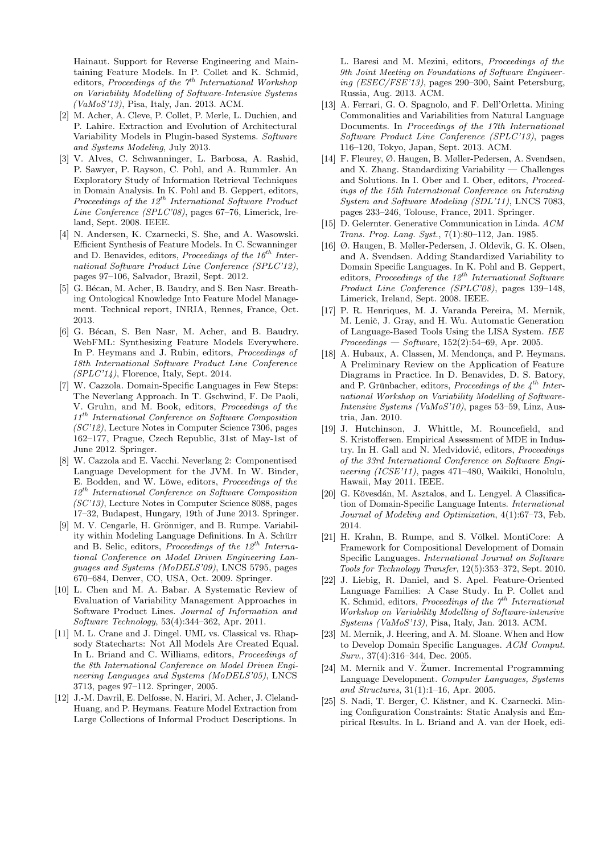Hainaut. Support for Reverse Engineering and Maintaining Feature Models. In P. Collet and K. Schmid, editors, *Proceedings of the 7*th *International Workshop on Variability Modelling of Software-Intensive Systems (VaMoS'13)*, Pisa, Italy, Jan. 2013. ACM.

- <span id="page-10-15"></span>[2] M. Acher, A. Cleve, P. Collet, P. Merle, L. Duchien, and P. Lahire. Extraction and Evolution of Architectural Variability Models in Plugin-based Systems. *Software and Systems Modeling*, July 2013.
- <span id="page-10-11"></span>[3] V. Alves, C. Schwanninger, L. Barbosa, A. Rashid, P. Sawyer, P. Rayson, C. Pohl, and A. Rummler. An Exploratory Study of Information Retrieval Techniques in Domain Analysis. In K. Pohl and B. Geppert, editors, *Proceedings of the 12*th *International Software Product Line Conference (SPLC'08)*, pages 67–76, Limerick, Ireland, Sept. 2008. IEEE.
- <span id="page-10-9"></span>[4] N. Andersen, K. Czarnecki, S. She, and A. Wasowski. Efficient Synthesis of Feature Models. In C. Scwanninger and D. Benavides, editors, *Proceedings of the 16*th *International Software Product Line Conference (SPLC'12)*, pages 97–106, Salvador, Brazil, Sept. 2012.
- <span id="page-10-13"></span>[5] G. Bécan, M. Acher, B. Baudry, and S. Ben Nasr. Breathing Ontological Knowledge Into Feature Model Management. Technical report, INRIA, Rennes, France, Oct. 2013.
- <span id="page-10-14"></span>[6] G. Bécan, S. Ben Nasr, M. Acher, and B. Baudry. WebFML: Synthesizing Feature Models Everywhere. In P. Heymans and J. Rubin, editors, *Proceedings of 18th International Software Product Line Conference (SPLC'14)*, Florence, Italy, Sept. 2014.
- <span id="page-10-4"></span>[7] W. Cazzola. Domain-Specific Languages in Few Steps: The Neverlang Approach. In T. Gschwind, F. De Paoli, V. Gruhn, and M. Book, editors, *Proceedings of the 11*th *International Conference on Software Composition (SC'12)*, Lecture Notes in Computer Science 7306, pages 162–177, Prague, Czech Republic, 31st of May-1st of June 2012. Springer.
- <span id="page-10-7"></span>[8] W. Cazzola and E. Vacchi. Neverlang 2: Componentised Language Development for the JVM. In W. Binder, E. Bodden, and W. Löwe, editors, *Proceedings of the 12*th *International Conference on Software Composition (SC'13)*, Lecture Notes in Computer Science 8088, pages 17–32, Budapest, Hungary, 19th of June 2013. Springer.
- <span id="page-10-20"></span>[9] M. V. Cengarle, H. Grönniger, and B. Rumpe. Variability within Modeling Language Definitions. In A. Schürr and B. Selic, editors, *Proceedings of the 12*th *International Conference on Model Driven Engineering Languages and Systems (MoDELS'09)*, LNCS 5795, pages 670–684, Denver, CO, USA, Oct. 2009. Springer.
- <span id="page-10-18"></span>[10] L. Chen and M. A. Babar. A Systematic Review of Evaluation of Variability Management Approaches in Software Product Lines. *Journal of Information and Software Technology*, 53(4):344–362, Apr. 2011.
- <span id="page-10-8"></span>[11] M. L. Crane and J. Dingel. UML vs. Classical vs. Rhapsody Statecharts: Not All Models Are Created Equal. In L. Briand and C. Williams, editors, *Proceedings of the 8th International Conference on Model Driven Engineering Languages and Systems (MoDELS'05)*, LNCS 3713, pages 97–112. Springer, 2005.
- <span id="page-10-10"></span>[12] J.-M. Davril, E. Delfosse, N. Hariri, M. Acher, J. Cleland-Huang, and P. Heymans. Feature Model Extraction from Large Collections of Informal Product Descriptions. In

L. Baresi and M. Mezini, editors, *Proceedings of the 9th Joint Meeting on Foundations of Software Engineering (ESEC/FSE'13)*, pages 290–300, Saint Petersburg, Russia, Aug. 2013. ACM.

- <span id="page-10-12"></span>[13] A. Ferrari, G. O. Spagnolo, and F. Dell'Orletta. Mining Commonalities and Variabilities from Natural Language Documents. In *Proceedings of the 17th International Software Product Line Conference (SPLC'13)*, pages 116–120, Tokyo, Japan, Sept. 2013. ACM.
- <span id="page-10-23"></span>[14] F. Fleurey, Ø. Haugen, B. Møller-Pedersen, A. Svendsen, and X. Zhang. Standardizing Variability — Challenges and Solutions. In I. Ober and I. Ober, editors, *Proceedings of the 15th International Conference on Interating System and Software Modeling (SDL'11)*, LNCS 7083, pages 233–246, Tolouse, France, 2011. Springer.
- <span id="page-10-5"></span>[15] D. Gelernter. Generative Communication in Linda. *ACM Trans. Prog. Lang. Syst.*, 7(1):80–112, Jan. 1985.
- <span id="page-10-21"></span>[16] Ø. Haugen, B. Møller-Pedersen, J. Oldevik, G. K. Olsen, and A. Svendsen. Adding Standardized Variability to Domain Specific Languages. In K. Pohl and B. Geppert, editors, *Proceedings of the 12*th *International Software Product Line Conference (SPLC'08)*, pages 139–148, Limerick, Ireland, Sept. 2008. IEEE.
- <span id="page-10-19"></span>[17] P. R. Henriques, M. J. Varanda Pereira, M. Mernik, M. Lenič, J. Gray, and H. Wu. Automatic Generation of Language-Based Tools Using the LISA System. *IEE Proceedings — Software*, 152(2):54–69, Apr. 2005.
- <span id="page-10-17"></span>[18] A. Hubaux, A. Classen, M. Mendonça, and P. Heymans. A Preliminary Review on the Application of Feature Diagrams in Practice. In D. Benavides, D. S. Batory, and P. Grünbacher, editors, *Proceedings of the 4<sup>th</sup> International Workshop on Variability Modelling of Software-Intensive Systems (VaMoS'10)*, pages 53–59, Linz, Austria, Jan. 2010.
- <span id="page-10-0"></span>[19] J. Hutchinson, J. Whittle, M. Rouncefield, and S. Kristoffersen. Empirical Assessment of MDE in Industry. In H. Gall and N. Medvidović, editors, Proceedings *of the 33rd International Conference on Software Engineering (ICSE'11)*, pages 471–480, Waikiki, Honolulu, Hawaii, May 2011. IEEE.
- <span id="page-10-1"></span>[20] G. Kövesdán, M. Asztalos, and L. Lengyel. A Classification of Domain-Specific Language Intents. *International Journal of Modeling and Optimization*, 4(1):67–73, Feb. 2014.
- <span id="page-10-6"></span>[21] H. Krahn, B. Rumpe, and S. Völkel. MontiCore: A Framework for Compositional Development of Domain Specific Languages. *International Journal on Software Tools for Technology Transfer*, 12(5):353–372, Sept. 2010.
- <span id="page-10-22"></span>[22] J. Liebig, R. Daniel, and S. Apel. Feature-Oriented Language Families: A Case Study. In P. Collet and K. Schmid, editors, *Proceedings of the 7*th *International Workshop on Variability Modelling of Software-intensive Systems (VaMoS'13)*, Pisa, Italy, Jan. 2013. ACM.
- <span id="page-10-2"></span>[23] M. Mernik, J. Heering, and A. M. Sloane. When and How to Develop Domain Specific Languages. *ACM Comput. Surv.*, 37(4):316–344, Dec. 2005.
- <span id="page-10-3"></span>[24] M. Mernik and V.  $\check{Z}$ umer. Incremental Programming Language Development. *Computer Languages, Systems and Structures*, 31(1):1–16, Apr. 2005.
- <span id="page-10-16"></span>[25] S. Nadi, T. Berger, C. Kästner, and K. Czarnecki. Mining Configuration Constraints: Static Analysis and Empirical Results. In L. Briand and A. van der Hoek, edi-